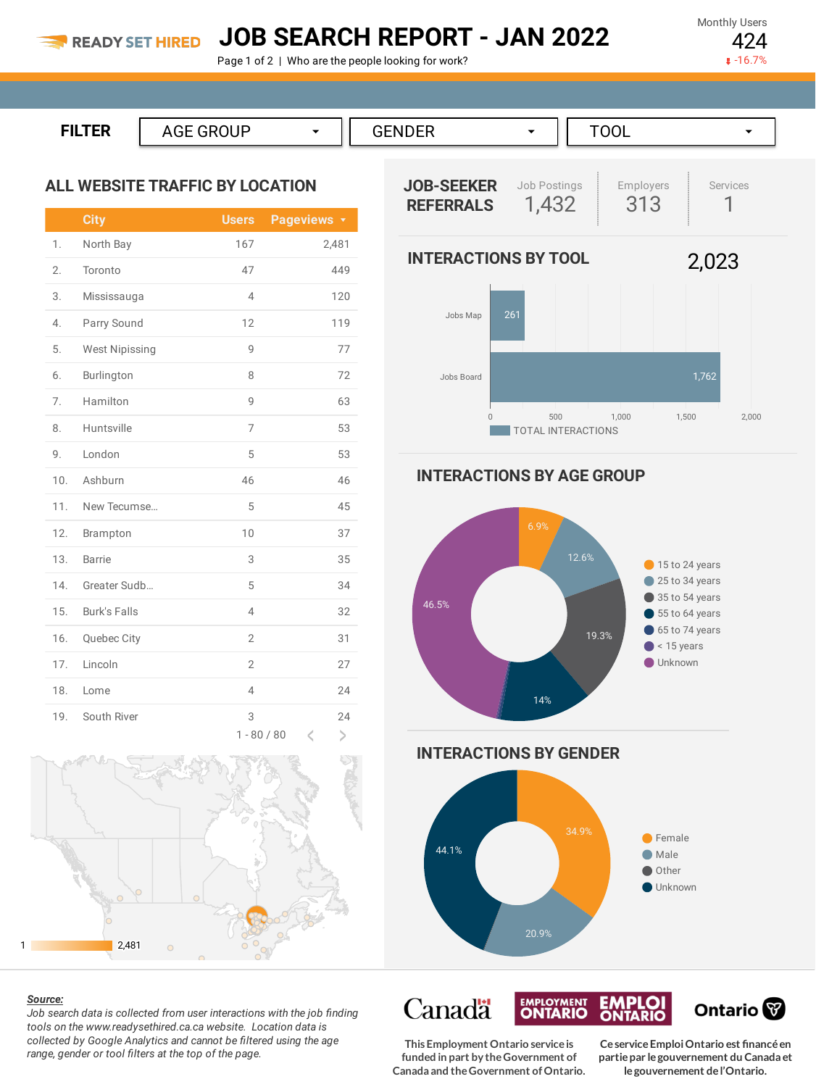## **JOB SEARCH REPORT - JAN 2022**

Page 1 of 2 | Who are the people looking for work?

Monthly Users 424

 $-16.7%$ 

```
FILTER AGE GROUP ▼
      GENDER →
                   TOOL ▼
```
## **ALL WEBSITE TRAFFIC BY LOCATION**

|     | <b>City</b>           | <b>Users</b>       | Pageviews <b>v</b> |
|-----|-----------------------|--------------------|--------------------|
| 1.  | North Bay             | 167                | 2,481              |
| 2.  | Toronto               | 47                 | 449                |
| 3.  | Mississauga           | $\overline{4}$     | 120                |
| 4.  | Parry Sound           | 12                 | 119                |
| 5.  | <b>West Nipissing</b> | 9                  | 77                 |
| 6.  | Burlington            | 8                  | 72                 |
| 7.  | Hamilton              | 9                  | 63                 |
| 8.  | Huntsville            | 7                  | 53                 |
| 9.  | London                | 5                  | 53                 |
| 10. | Ashburn               | 46                 | 46                 |
| 11. | New Tecumse           | 5                  | 45                 |
| 12. | Brampton              | 10                 | 37                 |
| 13. | <b>Barrie</b>         | 3                  | 35                 |
| 14. | Greater Sudb          | 5                  | 34                 |
| 15. | <b>Burk's Falls</b>   | 4                  | 32                 |
| 16. | Quebec City           | $\overline{2}$     | 31                 |
| 17. | Lincoln               | $\overline{2}$     | 27                 |
| 18. | Lome                  | $\overline{4}$     | 24                 |
| 19. | South River           | 3<br>$1 - 80 / 80$ | 24<br>$\geq$<br>K  |



## *Source:*

*Job search data is collected from user interactions with the job finding tools on the www.readysethired.ca.ca website. Location data is collected by Google Analytics and cannot be filtered using the age range, gender or tool filters at the top of the page.*



**INTERACTIONS BY AGE GROUP**



**INTERACTIONS BY GENDER**



**EMPLOYMENT** 

**This Employment Ontario serviceis funded in part by theGovernment of Canada and theGovernment ofOntario.**

**Canadä** 

**CeserviceEmploiOntario est financéen partiepar legouvernement du Canada et legouvernement del'Ontario.**

Ontario<sup>®</sup>

**EMPLOI**<br>ONTARIO